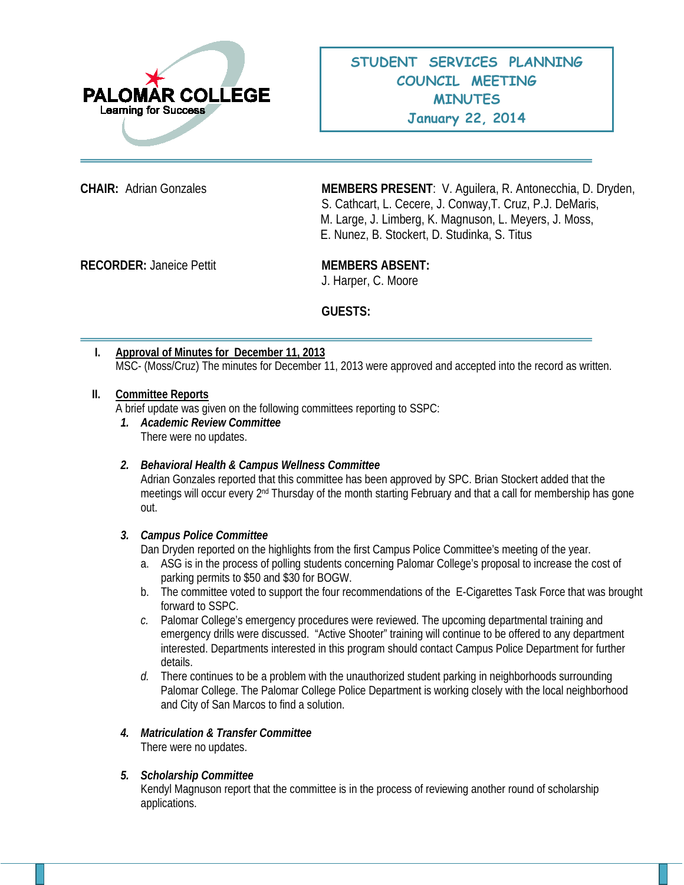

**CHAIR:** Adrian Gonzales **MEMBERS PRESENT**: V. Aguilera, R. Antonecchia, D. Dryden, S. Cathcart, L. Cecere, J. Conway,T. Cruz, P.J. DeMaris, M. Large, J. Limberg, K. Magnuson, L. Meyers, J. Moss, E. Nunez, B. Stockert, D. Studinka, S. Titus

**RECORDER:** Janeice Pettit **MEMBERS ABSENT:** 

J. Harper, C. Moore

**GUESTS:**

| Approval of Minutes for December 11, 2013                                                                 |
|-----------------------------------------------------------------------------------------------------------|
| MSC- (Moss/Cruz) The minutes for December 11, 2013 were approved and accepted into the record as written. |

## **II. Committee Reports**

A brief update was given on the following committees reporting to SSPC:

*1. Academic Review Committee* There were no updates.

#### *2. Behavioral Health & Campus Wellness Committee*

Adrian Gonzales reported that this committee has been approved by SPC. Brian Stockert added that the meetings will occur every 2<sup>nd</sup> Thursday of the month starting February and that a call for membership has gone out.

# *3. Campus Police Committee*

Dan Dryden reported on the highlights from the first Campus Police Committee's meeting of the year.

- a. ASG is in the process of polling students concerning Palomar College's proposal to increase the cost of parking permits to \$50 and \$30 for BOGW.
- b. The committee voted to support the four recommendations of the E-Cigarettes Task Force that was brought forward to SSPC.
- *c.* Palomar College's emergency procedures were reviewed. The upcoming departmental training and emergency drills were discussed. "Active Shooter" training will continue to be offered to any department interested. Departments interested in this program should contact Campus Police Department for further details.
- *d.* There continues to be a problem with the unauthorized student parking in neighborhoods surrounding Palomar College. The Palomar College Police Department is working closely with the local neighborhood and City of San Marcos to find a solution.

# *4. Matriculation & Transfer Committee*

There were no updates.

#### *5. Scholarship Committee*

Kendyl Magnuson report that the committee is in the process of reviewing another round of scholarship applications.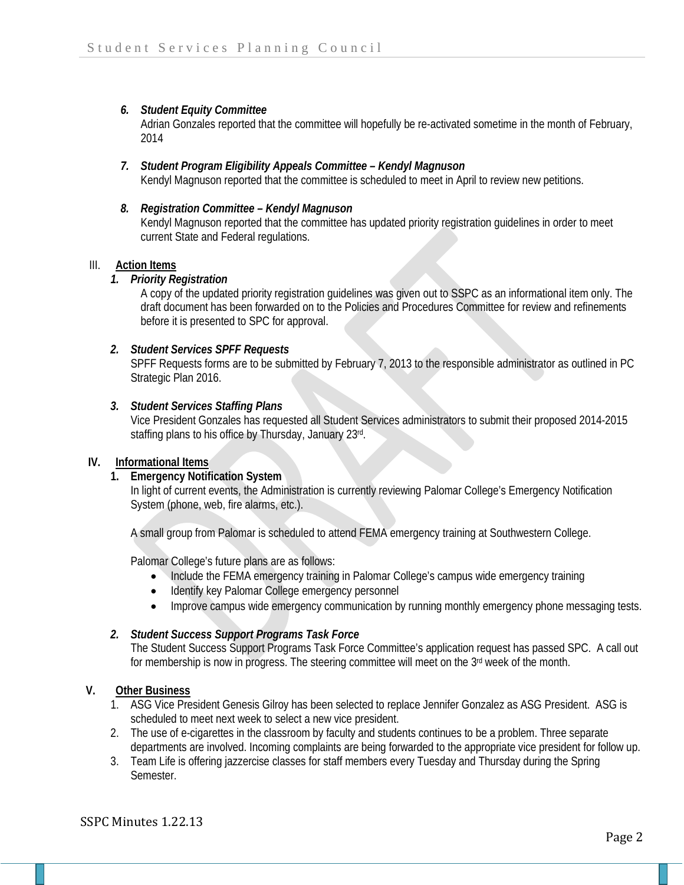# *6. Student Equity Committee*

Adrian Gonzales reported that the committee will hopefully be re-activated sometime in the month of February, 2014

*7. Student Program Eligibility Appeals Committee – Kendyl Magnuson* Kendyl Magnuson reported that the committee is scheduled to meet in April to review new petitions.

# *8. Registration Committee – Kendyl Magnuson*

Kendyl Magnuson reported that the committee has updated priority registration guidelines in order to meet current State and Federal regulations.

#### III. **Action Items**

#### *1. Priority Registration*

A copy of the updated priority registration guidelines was given out to SSPC as an informational item only. The draft document has been forwarded on to the Policies and Procedures Committee for review and refinements before it is presented to SPC for approval.

## *2. Student Services SPFF Requests*

SPFF Requests forms are to be submitted by February 7, 2013 to the responsible administrator as outlined in PC Strategic Plan 2016.

## *3. Student Services Staffing Plans*

Vice President Gonzales has requested all Student Services administrators to submit their proposed 2014-2015 staffing plans to his office by Thursday, January 23rd.

#### **IV. Informational Items**

#### **1. Emergency Notification System**

In light of current events, the Administration is currently reviewing Palomar College's Emergency Notification System (phone, web, fire alarms, etc.).

A small group from Palomar is scheduled to attend FEMA emergency training at Southwestern College.

Palomar College's future plans are as follows:

- Include the FEMA emergency training in Palomar College's campus wide emergency training
- Identify key Palomar College emergency personnel
- Improve campus wide emergency communication by running monthly emergency phone messaging tests.

# *2. Student Success Support Programs Task Force*

The Student Success Support Programs Task Force Committee's application request has passed SPC. A call out for membership is now in progress. The steering committee will meet on the 3<sup>rd</sup> week of the month.

## **V. Other Business**

- 1. ASG Vice President Genesis Gilroy has been selected to replace Jennifer Gonzalez as ASG President. ASG is scheduled to meet next week to select a new vice president.
- 2. The use of e-cigarettes in the classroom by faculty and students continues to be a problem. Three separate departments are involved. Incoming complaints are being forwarded to the appropriate vice president for follow up.
- 3. Team Life is offering jazzercise classes for staff members every Tuesday and Thursday during the Spring Semester.